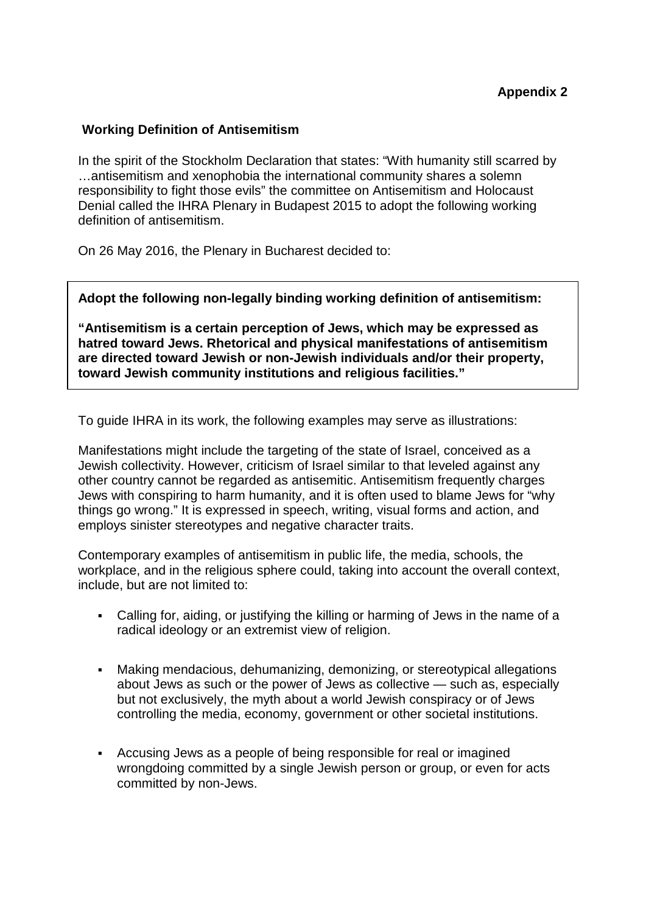## **Working Definition of Antisemitism**

In the spirit of the Stockholm Declaration that states: "With humanity still scarred by …antisemitism and xenophobia the international community shares a solemn responsibility to fight those evils" the committee on Antisemitism and Holocaust Denial called the IHRA Plenary in Budapest 2015 to adopt the following working definition of antisemitism.

On 26 May 2016, the Plenary in Bucharest decided to:

## **Adopt the following non-legally binding working definition of antisemitism:**

**"Antisemitism is a certain perception of Jews, which may be expressed as hatred toward Jews. Rhetorical and physical manifestations of antisemitism are directed toward Jewish or non-Jewish individuals and/or their property, toward Jewish community institutions and religious facilities."**

To guide IHRA in its work, the following examples may serve as illustrations:

Manifestations might include the targeting of the state of Israel, conceived as a Jewish collectivity. However, criticism of Israel similar to that leveled against any other country cannot be regarded as antisemitic. Antisemitism frequently charges Jews with conspiring to harm humanity, and it is often used to blame Jews for "why things go wrong." It is expressed in speech, writing, visual forms and action, and employs sinister stereotypes and negative character traits.

Contemporary examples of antisemitism in public life, the media, schools, the workplace, and in the religious sphere could, taking into account the overall context, include, but are not limited to:

- Calling for, aiding, or justifying the killing or harming of Jews in the name of a radical ideology or an extremist view of religion.
- Making mendacious, dehumanizing, demonizing, or stereotypical allegations about Jews as such or the power of Jews as collective — such as, especially but not exclusively, the myth about a world Jewish conspiracy or of Jews controlling the media, economy, government or other societal institutions.
- Accusing Jews as a people of being responsible for real or imagined wrongdoing committed by a single Jewish person or group, or even for acts committed by non-Jews.